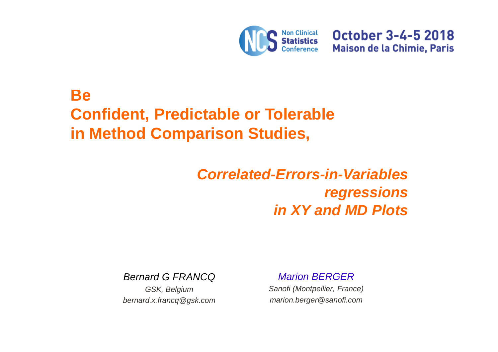

**October 3-4-5 2018 Maison de la Chimie, Paris** 

# **Be Confident, Predictable or Tolerablein Method Comparison Studies,**

# **Correlated-Errors-in-Variables regressionsin XY and MD Plots**

Bernard G FRANCQ

GSK, Belgiumbernard.x.francq@gsk.com Marion BERGER

 Sanofi (Montpellier, France)marion.berger@sanofi.com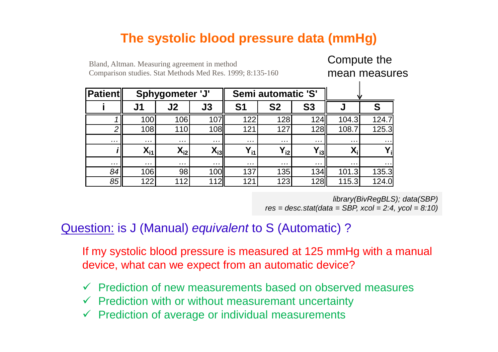### **The systolic blood pressure data (mmHg)**

#### **Patienti J1 J2 J3 S1 S2 S3 J S**124.7 1 <sup>100</sup> <sup>106</sup> <sup>107</sup> <sup>122</sup> <sup>128</sup> <sup>124</sup> 104.3 124.7 2 <sup>108</sup> <sup>110</sup> <sup>108</sup> <sup>121</sup> <sup>127</sup> <sup>128</sup> 108.7 125.3 … … … … … … … … … … … … … … … …  $\frac{1}{\sqrt{2}}$  we have  $\frac{1}{\sqrt{2}}$ **i** $X_{11}$  $X_{12}$  $X_{i3}$  $Y_{11}$ **Yi2Yi3Xi <sup>Y</sup><sup>i</sup>** … … … … … … … … … … … … … … … … … …  $\begin{array}{c|c} ... & ... & ... \\ \hline 134 & 101.3 & 135.3 \end{array}$ 84 <sup>106</sup> <sup>98</sup> <sup>100</sup> <sup>137</sup> <sup>135</sup> <sup>134</sup> 101.3 135.3 85<mark>5|| 122| 112| 112|| 121| 123| 128|| 115.3| 124.0</mark> **Sphygometer 'J' Semi automatic 'S'**

Bland, Altman. Measuring agreement in methodComparison studies. Stat Methods Med Res. 1999; 8:135-160

> library(BivRegBLS); data(SBP) $res = desc.stat(data = SBP, xcol = 2:4, ycol = 8:10)$

Compute the

mean measures

#### Question: is J (Manual) equivalent to S (Automatic) ?

If my systolic blood pressure is measured at 125 mmHg with a manual device, what can we expect from an automatic device?

- ← Prediction of new measurements based on observed measures
- $\checkmark$  Prediction with or without measuremant uncertainty
- $\checkmark$  Prediction of average or individual measurements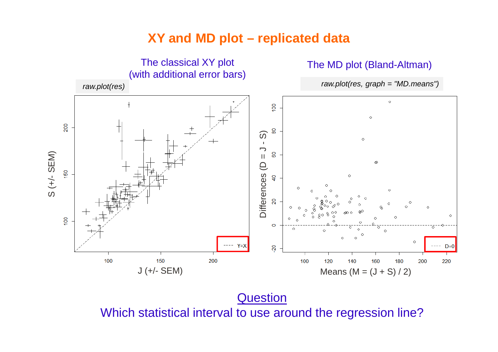#### **XY and MD plot – replicated data**



**Question** Which statistical interval to use around the regression line?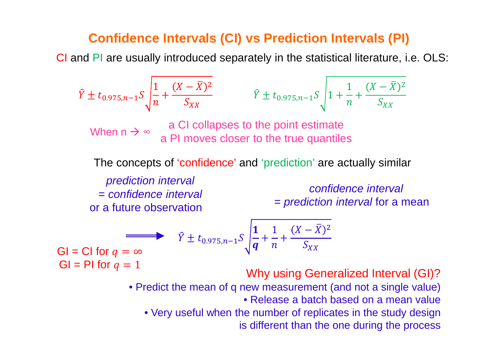#### **Confidence Intervals (CI) vs Prediction Intervals (PI)**

CI and PI are usually introduced separately in the statistical literature, i.e. OLS:

$$
\hat{Y} \pm t_{0.975, n-1} S \sqrt{\frac{1}{n} + \frac{(X - \bar{X})^2}{S_{XX}}} \qquad \hat{Y} \pm t_{0.975, n-1} S \sqrt{1 + \frac{1}{n} + \frac{(X - \bar{X})^2}{S_{XX}}}
$$
\nWhen  $n \rightarrow \infty$  a Cl collapses to the point estimate  
\na Pl moves closer to the true quantiles  
\nThe concepts of 'confidence' and 'prediction' are actually similar  
\nprediction interval  
\n= confidence interval  
\nor a future observation  
\n
$$
\begin{aligned}\n\hat{Y} \pm t_{0.975, n-1} S \sqrt{\frac{1}{q} + \frac{1}{n} + \frac{(X - \bar{X})^2}{S_{XX}}} \\
\text{Cl = Cl for } q &= \infty \\
\text{Gl = Pl for } q &= 1\n\end{aligned}
$$
\n
$$
\hat{Y} \pm t_{0.975, n-1} S \sqrt{\frac{1}{q} + \frac{1}{n} + \frac{(X - \bar{X})^2}{S_{XX}}}
$$
\n
$$
\begin{aligned}\n\text{Gl = Cl for } q &= 0 \\
\text{V} \pm t_{0.975, n-1} S \sqrt{\frac{1}{q} + \frac{1}{n} + \frac{(X - \bar{X})^2}{S_{XX}}} \\
\text{V} \pm t_{0.975, n-1} S \sqrt{\frac{1}{q} + \frac{1}{n} + \frac{(X - \bar{X})^2}{S_{XX}}} \\
\text{V} \pm t_{0.975, n-1} S \sqrt{\frac{1}{q} + \frac{1}{n} + \frac{(X - \bar{X})^2}{S_{XX}}} \\
\text{Simplifying Generalized Interval (Gl)?}\n\end{aligned}
$$
\n
$$
\begin{aligned}\n\text{P} \pm t_{0.975, n-1} S \sqrt{\frac{1}{q} + \frac{1}{n} + \frac{(X - \bar{X})^2}{S_{XX}}} \\
\text{Simplifying Generalized Interval (Gl)?}\n\end{aligned}
$$

is different than the one during the process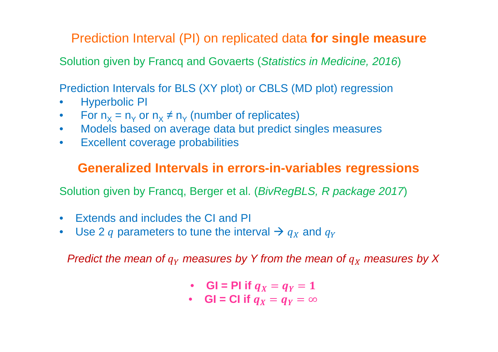Prediction Interval (PI) on replicated data **for single measure**

Solution given by Francq and Govaerts (Statistics in Medicine, 2016)

Prediction Intervals for BLS (XY plot) or CBLS (MD plot) regression

- •Hyperbolic PI
- •For  $n_X = n_Y$  or  $n_X \neq n_Y$  $_{\mathsf{Y}}$  (number of replicates)
- Models based on average data but predict singles measures•
- $\bullet$ Excellent coverage probabilities

#### **Generalized Intervals in errors-in-variables regressions**

Solution given by Francq, Berger et al. (BivRegBLS, R package 2017)

- Extends and includes the CI and PI
- Use 2  $q$  parameters to tune the interval  $\rightarrow$   $q_X$  $_X$  and  $q_Y$

Predict the mean of  $q_{\rm Y}$  $_{Y}$  measures by Y from the mean of  $q_{\overline{X}}$  $_{X}$  measures by X

- **GI** = PI if  $q_X = q_Y = 1$
- **GI** = CI if  $q_X = q_Y = \infty$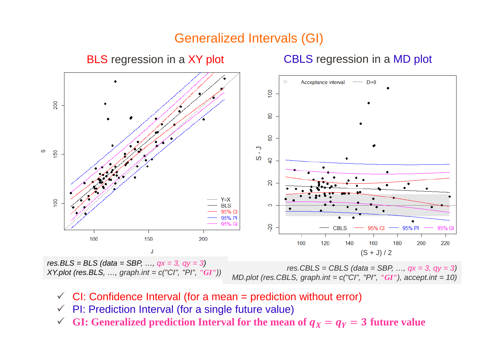#### Generalized Intervals (GI)



res.BLS = BLS (data = SBP, ...,  $qx = 3$ ,  $qy = 3$ ) XY.plot (res.BLS, …, graph.int = c("CI", "PI", *"GI"*))res.CBLS = CBLS (data = SBP, …, qx = 3, qy = 3) MD.plot (res.CBLS, graph.int = c("CI", "PI", *"GI"*), accept.int = 10)

- $\checkmark$ CI: Confidence Interval (for a mean = prediction without error)
- $\checkmark$ PI: Prediction Interval (for a single future value)
- $\checkmark$ **GI:** Generalized prediction Interval for the mean of  $q_X = q_Y = 3$  future value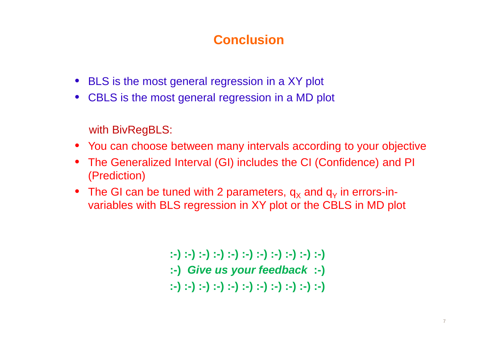## **Conclusion**

- BLS is the most general regression in a XY plot
- CBLS is the most general regression in a MD plot

with BivRegBLS:

- You can choose between many intervals according to your objective
- The Generalized Interval (GI) includes the CI (Confidence) and PI (Prediction)
- The GI can be tuned with 2 parameters,  $q_X$  and  $q_Y$  in errors-in-<br>seriables with  $\mathsf{Pl}$  C remeasing in YX also as the CDLO is MD at variables with BLS regression in XY plot or the CBLS in MD plot

**:-) :-) :-) :-) :-) :-) :-) :-) :-) :-) :-) :-) Give us your feedback :-):-) :-) :-) :-) :-) :-) :-) :-) :-) :-) :-)**